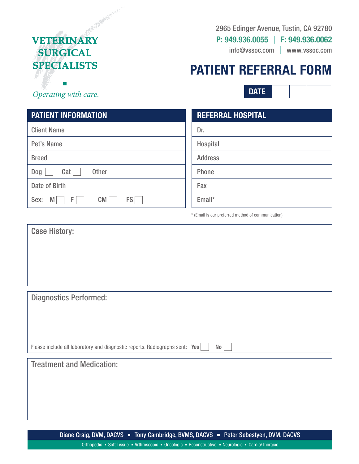# And March 1999 **VETERINARY SURGICAL SPECIALISTS**

### 2965 Edinger Avenue, Tustin, CA 92780

**P: 949.936.0055** I **F: 949.936.0062**

info@vssoc.com | www.vssoc.com

# **PATIENT REFERRAL FORM**

**DATE**

*Operating with care.* 

## **PATIENT INFORMATION**

| <b>Client Name</b>                   |
|--------------------------------------|
| <b>Pet's Name</b>                    |
| <b>Breed</b>                         |
| Cat<br><b>Other</b><br>Dog           |
| Date of Birth                        |
| <b>FS</b><br>Sex:<br>F.<br><b>CM</b> |

# **REFERRAL HOSPITAL** Dr. Hospital Address Phone Fax Email\*

\* (Email is our preferred method of communication)

| <b>Case History:</b>                                                              |
|-----------------------------------------------------------------------------------|
|                                                                                   |
|                                                                                   |
|                                                                                   |
|                                                                                   |
|                                                                                   |
|                                                                                   |
| <b>Diagnostics Performed:</b>                                                     |
|                                                                                   |
|                                                                                   |
|                                                                                   |
|                                                                                   |
| Please include all laboratory and diagnostic reports. Radiographs sent: Yes<br>No |
| <b>Treatment and Medication:</b>                                                  |
|                                                                                   |
|                                                                                   |
|                                                                                   |
|                                                                                   |
|                                                                                   |
|                                                                                   |

Diane Craig, DVM, DACVS " Tony Cambridge, BVMS, DACVS " Peter Sebestyen, DVM, DACVS

Orthopedic • Soft Tissue • Arthroscopic • Oncologic • Reconstructive • Neurologic • Cardio/Thoracic